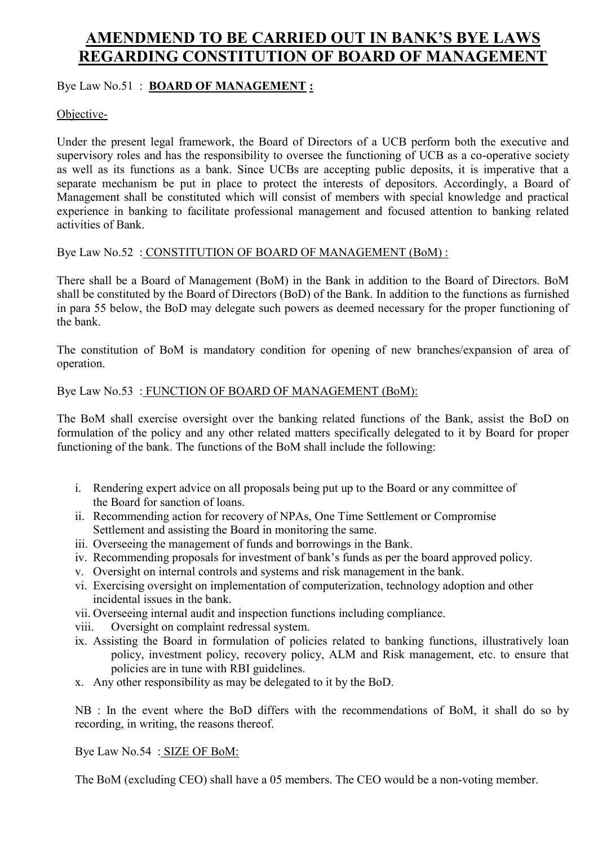# **AMENDMEND TO BE CARRIED OUT IN BANK'S BYE LAWS REGARDING CONSTITUTION OF BOARD OF MANAGEMENT**

## Bye Law No.51 : **BOARD OF MANAGEMENT :**

## Objective-

Under the present legal framework, the Board of Directors of a UCB perform both the executive and supervisory roles and has the responsibility to oversee the functioning of UCB as a co-operative society as well as its functions as a bank. Since UCBs are accepting public deposits, it is imperative that a separate mechanism be put in place to protect the interests of depositors. Accordingly, a Board of Management shall be constituted which will consist of members with special knowledge and practical experience in banking to facilitate professional management and focused attention to banking related activities of Bank.

### Bye Law No.52 : CONSTITUTION OF BOARD OF MANAGEMENT (BoM) :

There shall be a Board of Management (BoM) in the Bank in addition to the Board of Directors. BoM shall be constituted by the Board of Directors (BoD) of the Bank. In addition to the functions as furnished in para 55 below, the BoD may delegate such powers as deemed necessary for the proper functioning of the bank.

The constitution of BoM is mandatory condition for opening of new branches/expansion of area of operation.

### Bye Law No.53 : FUNCTION OF BOARD OF MANAGEMENT (BoM):

The BoM shall exercise oversight over the banking related functions of the Bank, assist the BoD on formulation of the policy and any other related matters specifically delegated to it by Board for proper functioning of the bank. The functions of the BoM shall include the following:

- i. Rendering expert advice on all proposals being put up to the Board or any committee of the Board for sanction of loans.
- ii. Recommending action for recovery of NPAs, One Time Settlement or Compromise Settlement and assisting the Board in monitoring the same.
- iii. Overseeing the management of funds and borrowings in the Bank.
- iv. Recommending proposals for investment of bank's funds as per the board approved policy.
- v. Oversight on internal controls and systems and risk management in the bank.
- vi. Exercising oversight on implementation of computerization, technology adoption and other incidental issues in the bank.
- vii. Overseeing internal audit and inspection functions including compliance.
- viii. Oversight on complaint redressal system.
- ix. Assisting the Board in formulation of policies related to banking functions, illustratively loan policy, investment policy, recovery policy, ALM and Risk management, etc. to ensure that policies are in tune with RBI guidelines.
- x. Any other responsibility as may be delegated to it by the BoD.

NB : In the event where the BoD differs with the recommendations of BoM, it shall do so by recording, in writing, the reasons thereof.

### Bye Law No.54 : SIZE OF BoM:

The BoM (excluding CEO) shall have a 05 members. The CEO would be a non-voting member.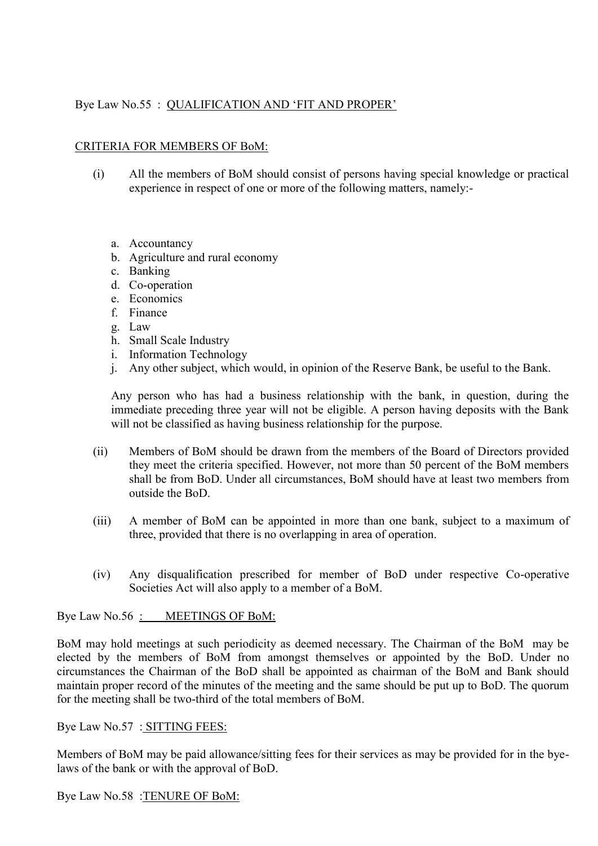# Bye Law No.55 : QUALIFICATION AND 'FIT AND PROPER'

#### CRITERIA FOR MEMBERS OF BoM:

- (i) All the members of BoM should consist of persons having special knowledge or practical experience in respect of one or more of the following matters, namely:
	- a. Accountancy
	- b. Agriculture and rural economy
	- c. Banking
	- d. Co-operation
	- e. Economics
	- f. Finance
	- g. Law
	- h. Small Scale Industry
	- i. Information Technology
	- j. Any other subject, which would, in opinion of the Reserve Bank, be useful to the Bank.

Any person who has had a business relationship with the bank, in question, during the immediate preceding three year will not be eligible. A person having deposits with the Bank will not be classified as having business relationship for the purpose.

- (ii) Members of BoM should be drawn from the members of the Board of Directors provided they meet the criteria specified. However, not more than 50 percent of the BoM members shall be from BoD. Under all circumstances, BoM should have at least two members from outside the BoD.
- (iii) A member of BoM can be appointed in more than one bank, subject to a maximum of three, provided that there is no overlapping in area of operation.
- (iv) Any disqualification prescribed for member of BoD under respective Co-operative Societies Act will also apply to a member of a BoM.

#### Bye Law No.56 : MEETINGS OF BoM:

BoM may hold meetings at such periodicity as deemed necessary. The Chairman of the BoM may be elected by the members of BoM from amongst themselves or appointed by the BoD. Under no circumstances the Chairman of the BoD shall be appointed as chairman of the BoM and Bank should maintain proper record of the minutes of the meeting and the same should be put up to BoD. The quorum for the meeting shall be two-third of the total members of BoM.

#### Bye Law No.57 : SITTING FEES:

Members of BoM may be paid allowance/sitting fees for their services as may be provided for in the byelaws of the bank or with the approval of BoD.

#### Bye Law No.58 :TENURE OF BoM: